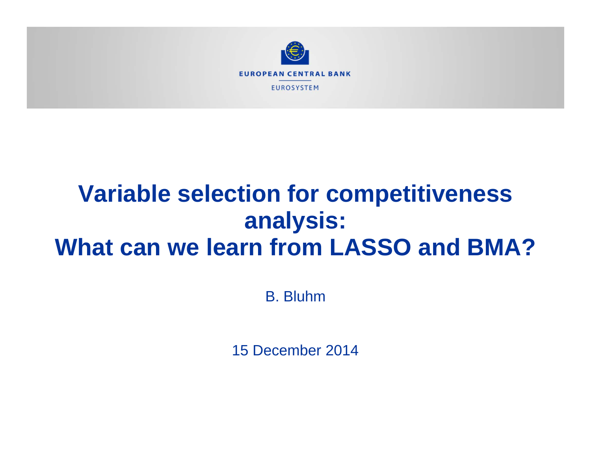

# **Variable selection for competitiveness analysis: What can we learn from LASSO and BMA?**

B. Bluhm

15 December 2014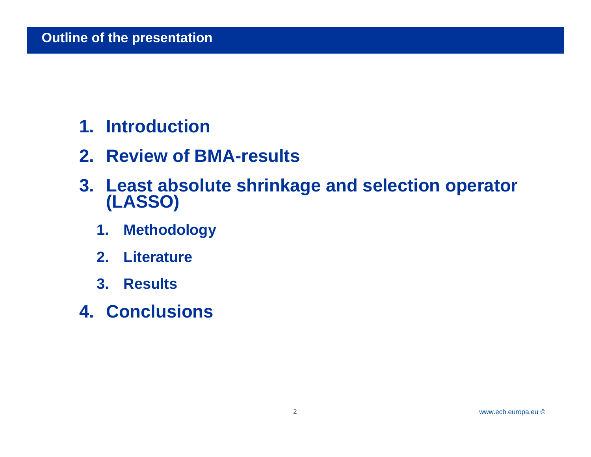- **1. Introduction**
- **2. Review of BMA-results**
- **3. Least absolute shrinkage and selection operator (LASSO)** 
	- **1. Methodology**
	- **2. Literature**
	- **3. Results**
- **4. Conclusions**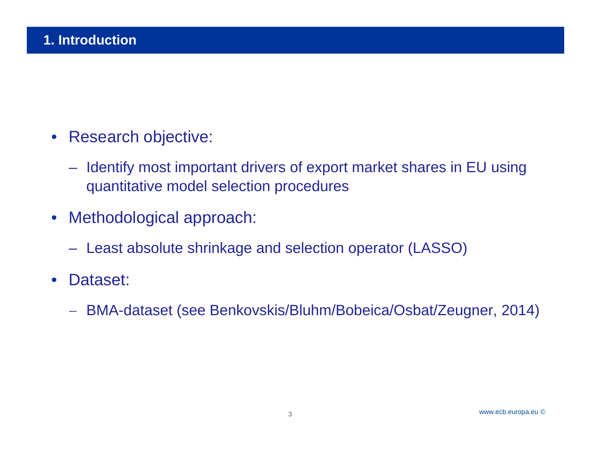- $\bullet$  Research objective:
	- Identify most important drivers of export market shares in EU using quantitative model selection procedures
- Methodological approach:
	- Least absolute shrinkage and selection operator (LASSO)
- $\bullet$  Dataset:
	- $\overline{\phantom{m}}$ BMA-dataset (see Benkovskis/Bluhm/Bobeica/Osbat/Zeugner, 2014)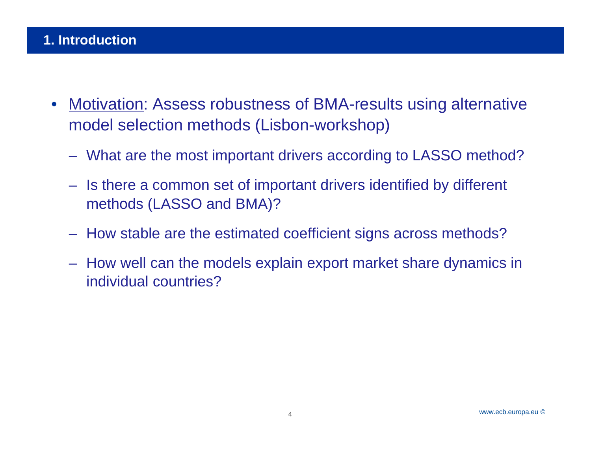- $\bullet$  Motivation: Assess robustness of BMA-results using alternative model selection methods (Lisbon-workshop)
	- What are the most important drivers according to LASSO method?
	- Is there a common set of important drivers identified by different methods (LASSO and BMA)?
	- How stable are the estimated coefficient signs across methods?
	- How well can the models explain export market share dynamics in individual countries?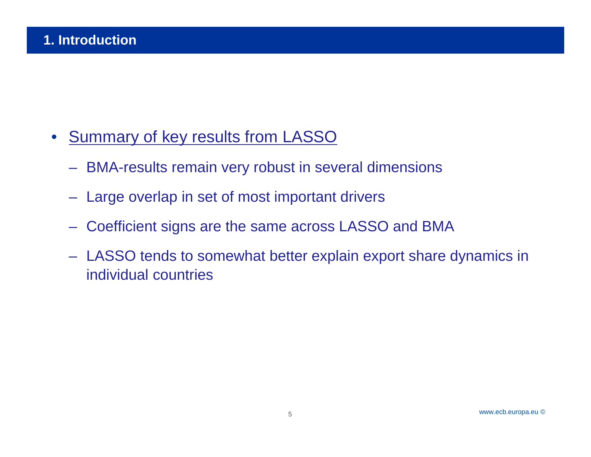- $\bullet$ **Summary of key results from LASSO** 
	- BMA-results remain very robust in several dimensions
	- Large overlap in set of most important drivers
	- Coefficient signs are the same across LASSO and BMA
	- LASSO tends to somewhat better explain export share dynamics in individual countries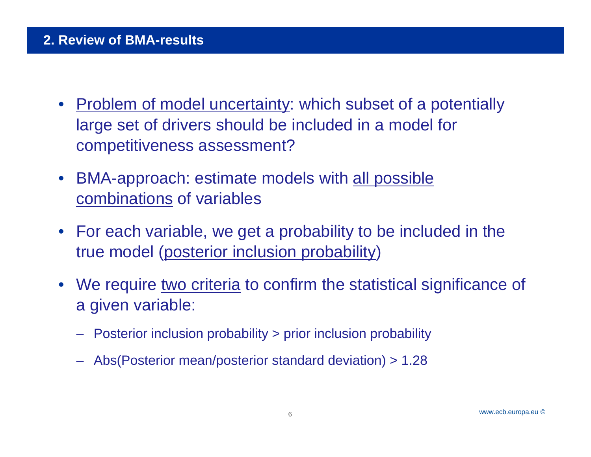- Problem of model uncertainty: which subset of a potentially large set of drivers should be included in a model for competitiveness assessment?
- BMA-approach: estimate models with **all possible** combinations of variables
- For each variable, we get a probability to be included in the true model (posterior inclusion probability)
- We require two criteria to confirm the statistical significance of a given variable:
	- –Posterior inclusion probability > prior inclusion probability
	- Abs(Posterior mean/posterior standard deviation) > 1.28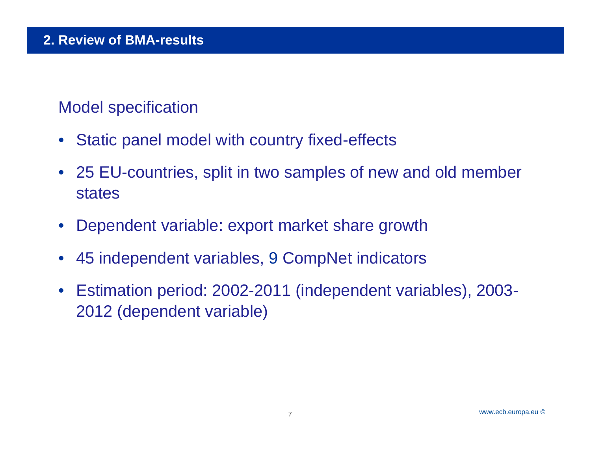# Model specification

- $\bullet$ Static panel model with country fixed-effects
- 25 EU-countries, split in two samples of new and old member states
- $\bullet$ Dependent variable: export market share growth
- $\bullet$ 45 independent variables, 9 CompNet indicators
- Estimation period: 2002-2011 (independent variables), 2003- 2012 (dependent variable)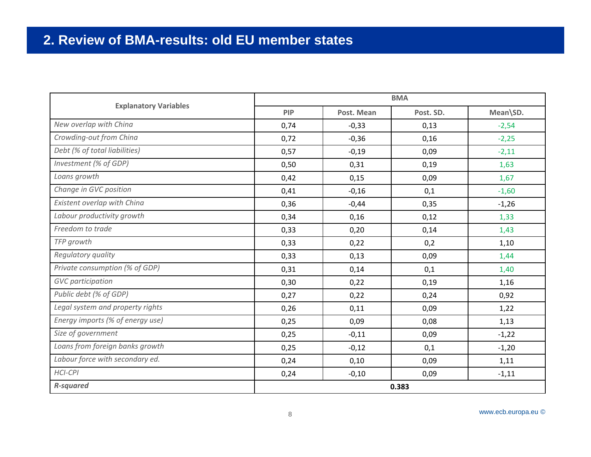#### 2. Review of BMA-results: old EU member states

|                                  | <b>BMA</b> |            |           |          |
|----------------------------------|------------|------------|-----------|----------|
| <b>Explanatory Variables</b>     | <b>PIP</b> | Post. Mean | Post. SD. | Mean\SD. |
| New overlap with China           | 0,74       | $-0,33$    | 0,13      | $-2,54$  |
| Crowding-out from China          | 0,72       | $-0,36$    | 0,16      | $-2,25$  |
| Debt (% of total liabilities)    | 0,57       | $-0,19$    | 0,09      | $-2,11$  |
| Investment (% of GDP)            | 0,50       | 0,31       | 0,19      | 1,63     |
| Loans growth                     | 0,42       | 0,15       | 0,09      | 1,67     |
| Change in GVC position           | 0,41       | $-0,16$    | 0,1       | $-1,60$  |
| Existent overlap with China      | 0,36       | $-0,44$    | 0,35      | $-1,26$  |
| Labour productivity growth       | 0,34       | 0,16       | 0,12      | 1,33     |
| Freedom to trade                 | 0,33       | 0,20       | 0,14      | 1,43     |
| TFP growth                       | 0,33       | 0,22       | 0,2       | 1,10     |
| Regulatory quality               | 0,33       | 0,13       | 0,09      | 1,44     |
| Private consumption (% of GDP)   | 0,31       | 0,14       | 0,1       | 1,40     |
| <b>GVC</b> participation         | 0,30       | 0,22       | 0,19      | 1,16     |
| Public debt (% of GDP)           | 0,27       | 0,22       | 0,24      | 0,92     |
| Legal system and property rights | 0,26       | 0,11       | 0,09      | 1,22     |
| Energy imports (% of energy use) | 0,25       | 0,09       | 0,08      | 1,13     |
| Size of government               | 0,25       | $-0,11$    | 0,09      | $-1,22$  |
| Loans from foreign banks growth  | 0,25       | $-0,12$    | 0,1       | $-1,20$  |
| Labour force with secondary ed.  | 0,24       | 0,10       | 0,09      | 1,11     |
| HCI-CPI                          | 0,24       | $-0,10$    | 0,09      | $-1,11$  |
| <b>R-squared</b>                 | 0.383      |            |           |          |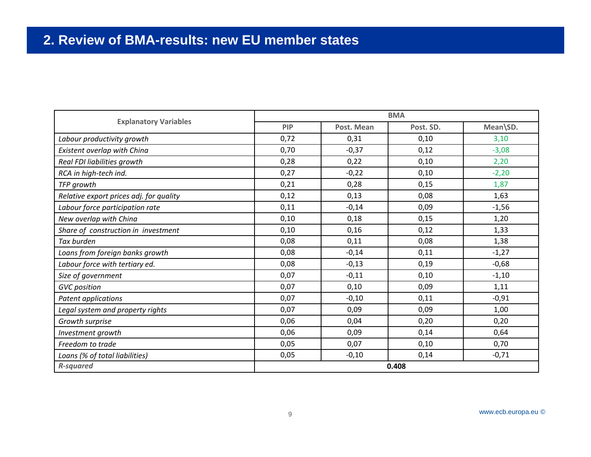#### 2. Review of BMA-results: new EU member states

|                                         | <b>BMA</b> |            |           |          |
|-----------------------------------------|------------|------------|-----------|----------|
| <b>Explanatory Variables</b>            | <b>PIP</b> | Post. Mean | Post. SD. | Mean\SD. |
| Labour productivity growth              | 0,72       | 0,31       | 0,10      | 3,10     |
| Existent overlap with China             | 0,70       | $-0,37$    | 0,12      | $-3,08$  |
| Real FDI liabilities growth             | 0,28       | 0,22       | 0,10      | 2,20     |
| RCA in high-tech ind.                   | 0,27       | $-0,22$    | 0,10      | $-2,20$  |
| TFP growth                              | 0,21       | 0,28       | 0,15      | 1,87     |
| Relative export prices adj. for quality | 0,12       | 0,13       | 0,08      | 1,63     |
| Labour force participation rate         | 0,11       | $-0,14$    | 0,09      | $-1,56$  |
| New overlap with China                  | 0,10       | 0,18       | 0,15      | 1,20     |
| Share of construction in investment     | 0,10       | 0,16       | 0,12      | 1,33     |
| Tax burden                              | 0,08       | 0,11       | 0,08      | 1,38     |
| Loans from foreign banks growth         | 0,08       | $-0,14$    | 0,11      | $-1,27$  |
| Labour force with tertiary ed.          | 0,08       | $-0,13$    | 0,19      | $-0,68$  |
| Size of government                      | 0,07       | $-0,11$    | 0,10      | $-1,10$  |
| <b>GVC</b> position                     | 0,07       | 0,10       | 0,09      | 1,11     |
| Patent applications                     | 0,07       | $-0,10$    | 0,11      | $-0,91$  |
| Legal system and property rights        | 0,07       | 0,09       | 0,09      | 1,00     |
| Growth surprise                         | 0,06       | 0,04       | 0,20      | 0,20     |
| Investment growth                       | 0,06       | 0,09       | 0,14      | 0,64     |
| Freedom to trade                        | 0,05       | 0,07       | 0,10      | 0,70     |
| Loans (% of total liabilities)          | 0,05       | $-0,10$    | 0,14      | $-0,71$  |
| <b>R-squared</b>                        | 0.408      |            |           |          |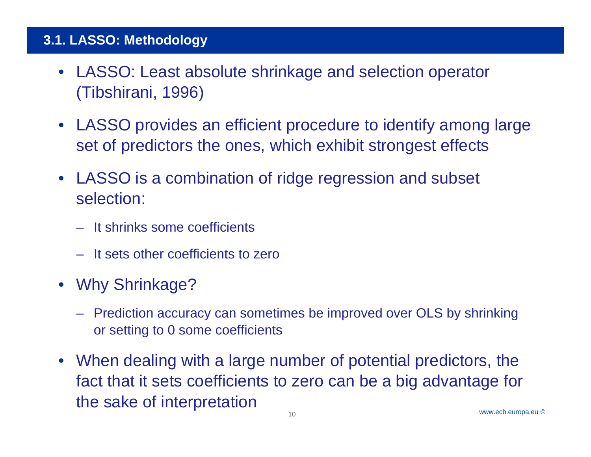- LASSO: Least absolute shrinkage and selection operator (Tibshirani, 1996)
- LASSO provides an efficient procedure to identify among large set of predictors the ones, which exhibit strongest effects
- LASSO is a combination of ridge regression and subset selection:
	- It shrinks some coefficients
	- It sets other coefficients to zero
- Why Shrinkage?
	- Prediction accuracy can sometimes be improved over OLS by shrinking or setting to 0 some coefficients
- When dealing with a large number of potential predictors, the fact that it sets coefficients to zero can be a big advantage for the sake of interpretation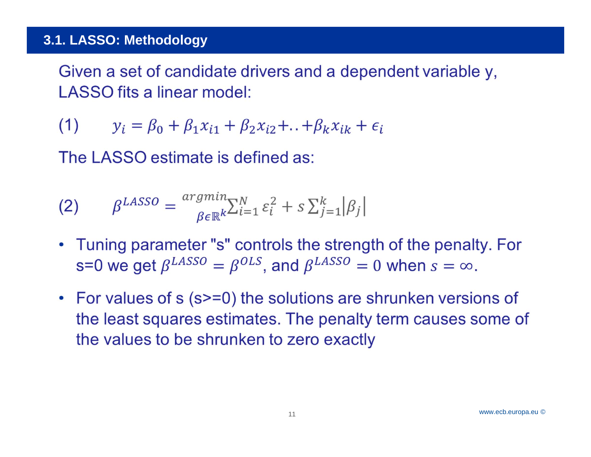Given a set of candidate drivers and a dependent variable y, LASSO fits a linear model:

 $(1)$  $y_i = \beta_0 + \beta_1 x_{i1} + \beta_2 x_{i2} + ... + \beta_k x_{ik} + \epsilon_i$ 

The LASSO estimate is defined as:

(2) 
$$
\beta^{LASSO} = \frac{argmin_{\beta \in \mathbb{R}^k} \sum_{i=1}^N \varepsilon_i^2 + s \sum_{j=1}^k |\beta_j|}{\beta_{\beta}}
$$

- Tuning parameter "s" controls the strength of the penalty. For s=0 we get  $\beta^{LASSO} = \beta^{OLS}$ , and  $\beta^{LASSO} = 0$  when  $s = \infty$ .
- For values of s (s>=0) the solutions are shrunken versions of the least squares estimates. The penalty term causes some of the values to be shrunken to zero exactly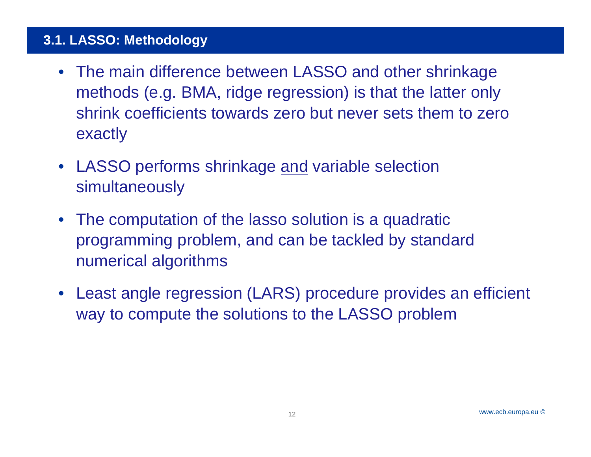- The main difference between LASSO and other shrinkage methods (e.g. BMA, ridge regression) is that the latter only shrink coefficients towards zero but never sets them to zero exactly
- LASSO performs shrinkage <u>and</u> variable selection simultaneously
- The computation of the lasso solution is a quadratic programming problem, and can be tackled by standard numerical algorithms
- Least angle regression (LARS) procedure provides an efficient way to compute the solutions to the LASSO problem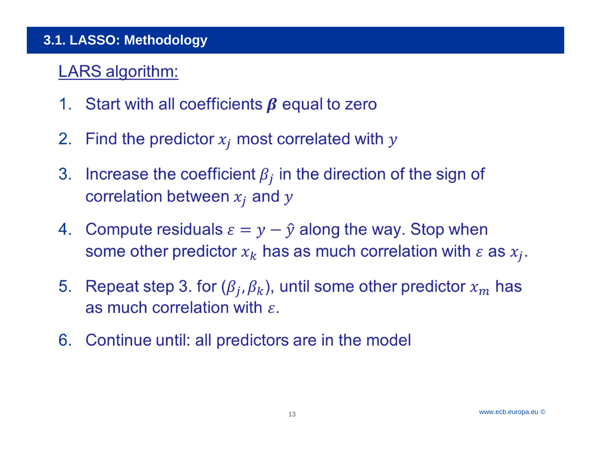# **LARS** algorithm:

- 1. Start with all coefficients  $\beta$  equal to zero
- Find the predictor  $x_i$  most correlated with  $y$ 2.
- 3. Increase the coefficient  $\beta_i$  in the direction of the sign of correlation between  $x_i$  and y
- 4. Compute residuals  $\varepsilon = y \hat{y}$  along the way. Stop when some other predictor  $x_k$  has as much correlation with  $\varepsilon$  as  $x_j$ .
- Repeat step 3. for  $(\beta_j, \beta_k)$ , until some other predictor  $x_m$  has 5. as much correlation with  $\varepsilon$ .
- Continue until: all predictors are in the model 6.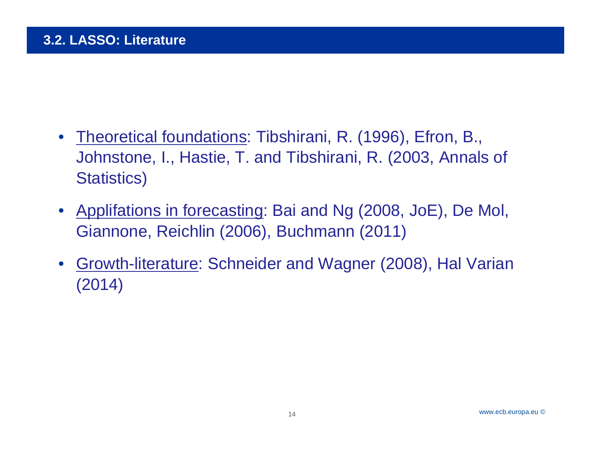- Theoretical foundations: Tibshirani, R. (1996), Efron, B., Johnstone, I., Hastie, T. and Tibshirani, R. (2003, Annals of Statistics)
- Applifations in forecasting: Bai and Ng (2008, JoE), De Mol, Giannone, Reichlin (2006), Buchmann (2011)
- • Growth-literature: Schneider and Wagner (2008), Hal Varian (2014)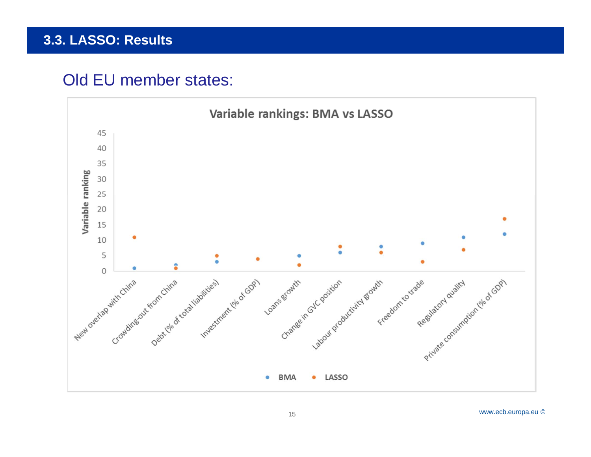## Old EU member states:

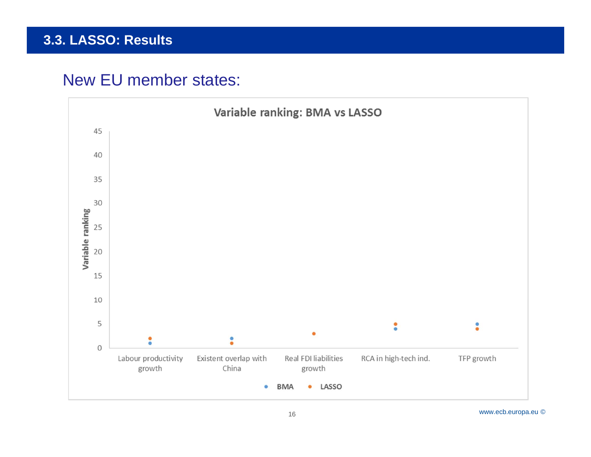# New EU member states:



www.ecb.europa.eu ©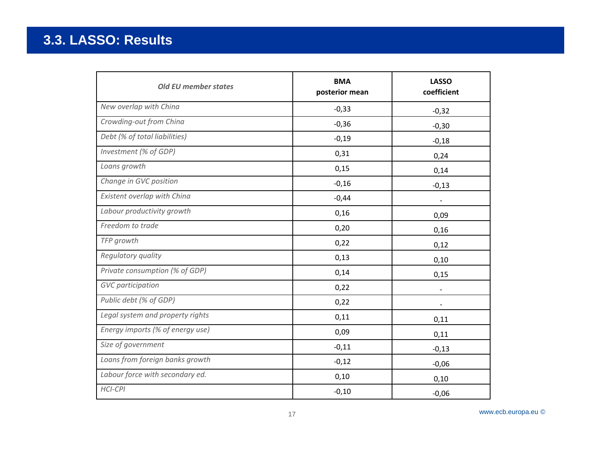| <b>Old EU member states</b>      | <b>BMA</b><br>posterior mean | <b>LASSO</b><br>coefficient |
|----------------------------------|------------------------------|-----------------------------|
| New overlap with China           | $-0,33$                      | $-0,32$                     |
| Crowding-out from China          | $-0,36$                      | $-0,30$                     |
| Debt (% of total liabilities)    | $-0,19$                      | $-0,18$                     |
| Investment (% of GDP)            | 0,31                         | 0,24                        |
| Loans growth                     | 0,15                         | 0,14                        |
| Change in GVC position           | $-0,16$                      | $-0,13$                     |
| Existent overlap with China      | $-0,44$                      |                             |
| Labour productivity growth       | 0,16                         | 0,09                        |
| Freedom to trade                 | 0,20                         | 0,16                        |
| TFP growth                       | 0,22                         | 0,12                        |
| Regulatory quality               | 0,13                         | 0,10                        |
| Private consumption (% of GDP)   | 0,14                         | 0,15                        |
| <b>GVC</b> participation         | 0,22                         |                             |
| Public debt (% of GDP)           | 0,22                         |                             |
| Legal system and property rights | 0,11                         | 0,11                        |
| Energy imports (% of energy use) | 0,09                         | 0,11                        |
| Size of government               | $-0,11$                      | $-0,13$                     |
| Loans from foreign banks growth  | $-0,12$                      | $-0,06$                     |
| Labour force with secondary ed.  | 0,10                         | 0,10                        |
| <b>HCI-CPI</b>                   | $-0,10$                      | $-0,06$                     |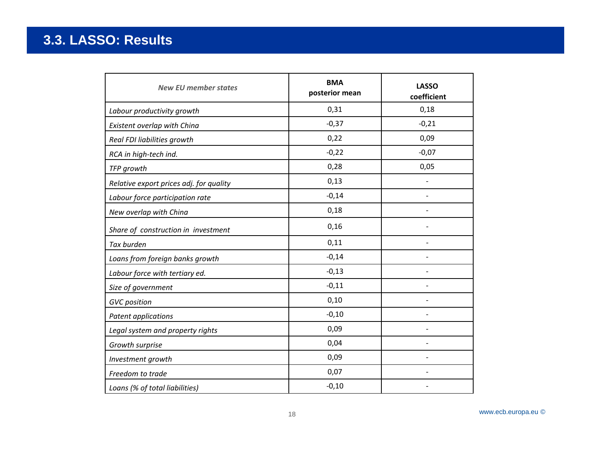| <b>New EU member states</b>             | <b>BMA</b><br>posterior mean | <b>LASSO</b><br>coefficient |
|-----------------------------------------|------------------------------|-----------------------------|
| Labour productivity growth              | 0,31                         | 0,18                        |
| Existent overlap with China             | $-0,37$                      | $-0,21$                     |
| Real FDI liabilities growth             | 0,22                         | 0,09                        |
| RCA in high-tech ind.                   | $-0,22$                      | $-0,07$                     |
| TFP growth                              | 0,28                         | 0,05                        |
| Relative export prices adj. for quality | 0,13                         |                             |
| Labour force participation rate         | $-0,14$                      | $\overline{\phantom{0}}$    |
| New overlap with China                  | 0,18                         |                             |
| Share of construction in investment     | 0,16                         |                             |
| Tax burden                              | 0,11                         |                             |
| Loans from foreign banks growth         | $-0,14$                      |                             |
| Labour force with tertiary ed.          | $-0,13$                      | $\overline{a}$              |
| Size of government                      | $-0,11$                      |                             |
| <b>GVC</b> position                     | 0,10                         |                             |
| Patent applications                     | $-0,10$                      | $\overline{\phantom{0}}$    |
| Legal system and property rights        | 0,09                         |                             |
| Growth surprise                         | 0,04                         |                             |
| Investment growth                       | 0,09                         |                             |
| Freedom to trade                        | 0,07                         |                             |
| Loans (% of total liabilities)          | $-0,10$                      |                             |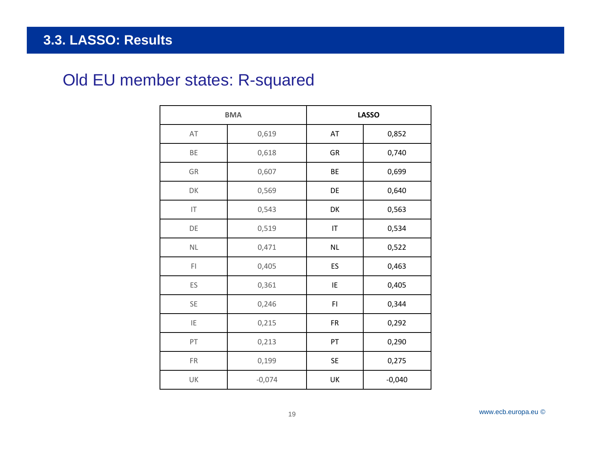# Old EU member states: R-squared

|                      | <b>BMA</b> |           | <b>LASSO</b> |
|----------------------|------------|-----------|--------------|
| AT                   | 0,619      | AT        | 0,852        |
| BE                   | 0,618      | GR        | 0,740        |
| GR                   | 0,607      | BE        | 0,699        |
| DK                   | 0,569      | DE        | 0,640        |
| IT                   | 0,543      | DK        | 0,563        |
| DE                   | 0,519      | IT        | 0,534        |
| $\mathsf{NL}\xspace$ | 0,471      | <b>NL</b> | 0,522        |
| FI                   | 0,405      | ES        | 0,463        |
| ES                   | 0,361      | IE        | 0,405        |
| SE                   | 0,246      | F1        | 0,344        |
| IE                   | 0,215      | <b>FR</b> | 0,292        |
| PT                   | 0,213      | PT        | 0,290        |
| FR                   | 0,199      | SE        | 0,275        |
| UK                   | $-0,074$   | UK        | $-0,040$     |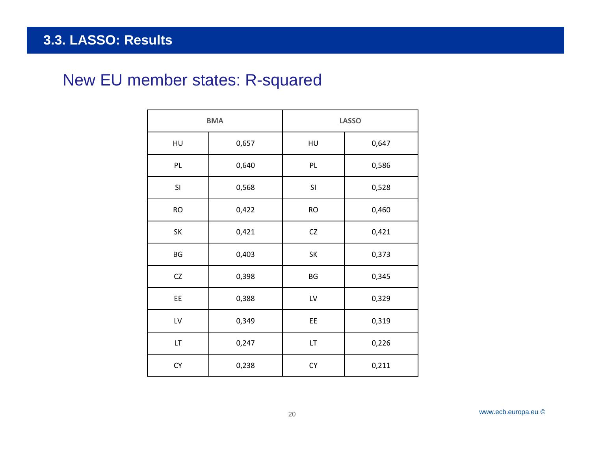#### Rubric **3.3. LASSO: Results**

# New EU member states: R-squared

| <b>BMA</b> |       | <b>LASSO</b> |       |  |
|------------|-------|--------------|-------|--|
| HU         | 0,657 | HU           | 0,647 |  |
| PL         | 0,640 | PL           | 0,586 |  |
| SI         | 0,568 | SI           | 0,528 |  |
| <b>RO</b>  | 0,422 | <b>RO</b>    | 0,460 |  |
| SK         | 0,421 | ${\sf CZ}$   | 0,421 |  |
| BG         | 0,403 | SK           | 0,373 |  |
| CZ         | 0,398 | BG           | 0,345 |  |
| EE         | 0,388 | LV           | 0,329 |  |
| LV         | 0,349 | EE           | 0,319 |  |
| LT.        | 0,247 | LT           | 0,226 |  |
| CY         | 0,238 | CY           | 0,211 |  |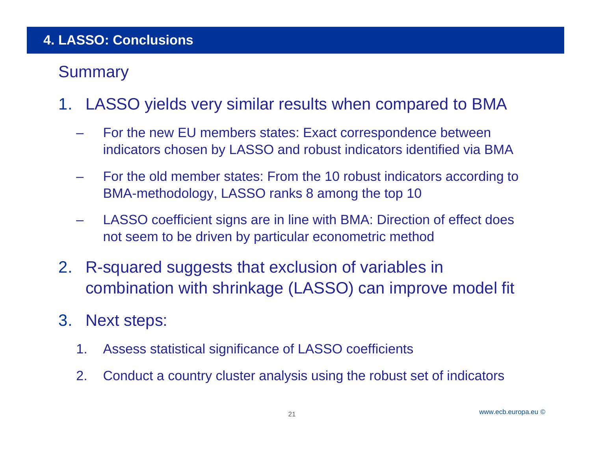#### Rubric**4. LASSO: Conclusions**

# **Summary**

- 1. LASSO yields very similar results when compared to BMA
	- – For the new EU members states: Exact correspondence between indicators chosen by LASSO and robust indicators identified via BMA
	- – For the old member states: From the 10 robust indicators according to BMA-methodology, LASSO ranks 8 among the top 10
	- – LASSO coefficient signs are in line with BMA: Direction of effect does not seem to be driven by particular econometric method
- 2. R-squared suggests that exclusion of variables in combination with shrinkage (LASSO) can improve model fit
- 3. Next steps:
	- 1. Assess statistical significance of LASSO coefficients
	- 2. Conduct a country cluster analysis using the robust set of indicators